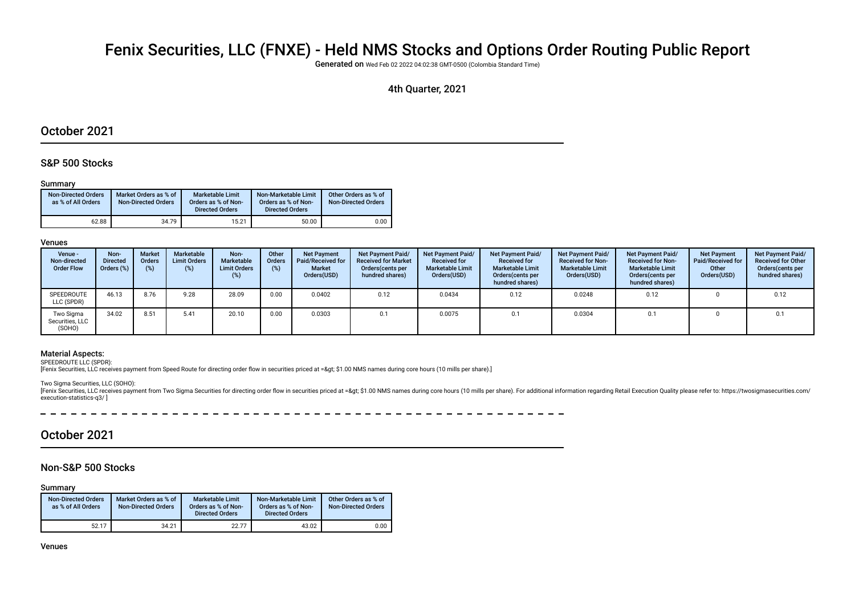# Fenix Securities, LLC (FNXE) - Held NMS Stocks and Options Order Routing Public Report

Generated on Wed Feb 02 2022 04:02:38 GMT-0500 (Colombia Standard Time)

## 4th Quarter, 2021

# October 2021

#### S&P 500 Stocks

#### Summary

| <b>Non-Directed Orders</b><br>as % of All Orders | Market Orders as % of<br><b>Non-Directed Orders</b> | Marketable Limit<br>Orders as % of Non-<br><b>Directed Orders</b> | Non-Marketable Limit<br>Orders as % of Non-<br><b>Directed Orders</b> | Other Orders as % of<br><b>Non-Directed Orders</b> |
|--------------------------------------------------|-----------------------------------------------------|-------------------------------------------------------------------|-----------------------------------------------------------------------|----------------------------------------------------|
| 62.88                                            | 34.79                                               | 15.21                                                             | 50.00                                                                 | 0.00                                               |

#### Venues

| Venue -<br>Non-directed<br><b>Order Flow</b> | Non-<br><b>Directed</b><br>Orders (%) | <b>Market</b><br><b>Orders</b><br>(%) | Marketable<br><b>Limit Orders</b><br>$(\%)$ | Non-<br>Marketable<br><b>Limit Orders</b><br>(%) | Other<br><b>Orders</b> | <b>Net Payment</b><br>Paid/Received for<br>Market<br>Orders(USD) | <b>Net Payment Paid/</b><br><b>Received for Market</b><br>Orders(cents per<br>hundred shares) | <b>Net Payment Paid/</b><br><b>Received for</b><br><b>Marketable Limit</b><br>Orders(USD) | Net Payment Paid/<br><b>Received for</b><br><b>Marketable Limit</b><br>Orders(cents per<br>hundred shares) | <b>Net Payment Paid/</b><br><b>Received for Non-</b><br><b>Marketable Limit</b><br>Orders(USD) | <b>Net Payment Paid/</b><br><b>Received for Non-</b><br><b>Marketable Limit</b><br>Orders (cents per<br>hundred shares) | <b>Net Payment</b><br>Paid/Received for<br>Other<br>Orders(USD) | <b>Net Payment Paid/</b><br><b>Received for Other</b><br>Orders(cents per<br>hundred shares) |
|----------------------------------------------|---------------------------------------|---------------------------------------|---------------------------------------------|--------------------------------------------------|------------------------|------------------------------------------------------------------|-----------------------------------------------------------------------------------------------|-------------------------------------------------------------------------------------------|------------------------------------------------------------------------------------------------------------|------------------------------------------------------------------------------------------------|-------------------------------------------------------------------------------------------------------------------------|-----------------------------------------------------------------|----------------------------------------------------------------------------------------------|
| SPEEDROUTE<br>LLC (SPDR)                     | 46.13                                 | 8.76                                  | 9.28                                        | 28.09                                            | 0.00                   | 0.0402                                                           | 0.12                                                                                          | 0.0434                                                                                    | 0.12                                                                                                       | 0.0248                                                                                         | 0.12                                                                                                                    |                                                                 | 0.12                                                                                         |
| Two Sigma<br>Securities, LLC<br>(SOHO)       | 34.02                                 | 8.51                                  | 5.41                                        | 20.10                                            | 0.00                   | 0.0303                                                           | 0.1                                                                                           | 0.0075                                                                                    | 0.1                                                                                                        | 0.0304                                                                                         | 0.1                                                                                                                     |                                                                 | 0.1                                                                                          |

#### Material Aspects:

SPEEDROUTE LLC (SPDR):

[Fenix Securities, LLC receives payment from Speed Route for directing order flow in securities priced at => \$1.00 NMS names during core hours (10 mills per share).]

Two Sigma Securities, LLC (SOHO):

[Fenix Securities, LLC receives payment from Two Sigma Securities for directing order flow in securities priced at => \$1.00 NMS names during core hours (10 mills per share). For additional information regarding Retail E execution-statistics-q3/ ]

# October 2021

### Non-S&P 500 Stocks

Summary

| <b>Non-Directed Orders</b><br>as % of All Orders | Market Orders as % of<br><b>Non-Directed Orders</b> | <b>Marketable Limit</b><br>Orders as % of Non-<br><b>Directed Orders</b> | Non-Marketable Limit<br>Orders as % of Non-<br><b>Directed Orders</b> | Other Orders as % of<br><b>Non-Directed Orders</b> |
|--------------------------------------------------|-----------------------------------------------------|--------------------------------------------------------------------------|-----------------------------------------------------------------------|----------------------------------------------------|
| 52.17                                            | 34.21                                               | 22.77                                                                    | 43.02                                                                 | 0.00                                               |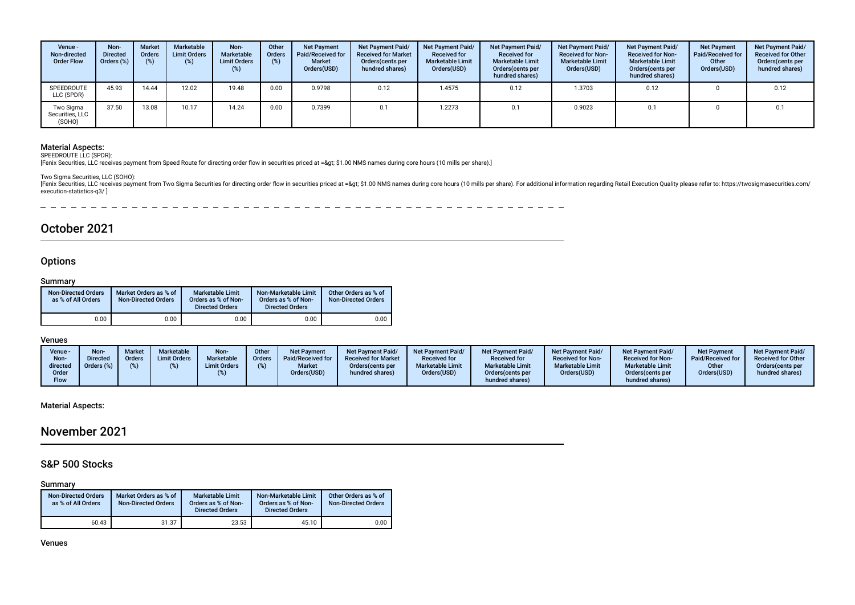| Venue -<br>Non-directed<br><b>Order Flow</b> | Non-<br><b>Directed</b><br>Orders (%) | <b>Market</b><br><b>Orders</b> | Marketable<br><b>Limit Orders</b><br>(%) | Non-<br><b>Marketable</b><br><b>Limit Orders</b><br>$(\%)$ | Other<br><b>Orders</b><br>$(\%)$ | <b>Net Payment</b><br>Paid/Received for<br><b>Market</b><br>Orders(USD) | Net Payment Paid/<br><b>Received for Market</b><br>Orders(cents per<br>hundred shares) | <b>Net Payment Paid/</b><br><b>Received for</b><br><b>Marketable Limit</b><br>Orders(USD) | Net Payment Paid/<br><b>Received for</b><br><b>Marketable Limit</b><br>Orders (cents per<br>hundred shares) | Net Payment Paid/<br><b>Received for Non-</b><br><b>Marketable Limit</b><br>Orders(USD) | <b>Net Payment Paid/</b><br><b>Received for Non-</b><br><b>Marketable Limit</b><br>Orders (cents per<br>hundred shares) | <b>Net Payment</b><br><b>Paid/Received for</b><br>Other<br>Orders(USD) | <b>Net Payment Paid/</b><br><b>Received for Other</b><br>Orders(cents per<br>hundred shares) |
|----------------------------------------------|---------------------------------------|--------------------------------|------------------------------------------|------------------------------------------------------------|----------------------------------|-------------------------------------------------------------------------|----------------------------------------------------------------------------------------|-------------------------------------------------------------------------------------------|-------------------------------------------------------------------------------------------------------------|-----------------------------------------------------------------------------------------|-------------------------------------------------------------------------------------------------------------------------|------------------------------------------------------------------------|----------------------------------------------------------------------------------------------|
| SPEEDROUTE<br>LLC (SPDR)                     | 45.93                                 | 14.44                          | 12.02                                    | 19.48                                                      | 0.00                             | 0.9798                                                                  | 0.12                                                                                   | 1.4575                                                                                    | 0.12                                                                                                        | 1.3703                                                                                  | 0.12                                                                                                                    |                                                                        | 0.12                                                                                         |
| Two Sigma<br>Securities, LLC<br>(SOHO)       | 37.50                                 | 13.08                          | 10.17                                    | 14.24                                                      | 0.00                             | 0.7399                                                                  | 0.1                                                                                    | 1.2273                                                                                    |                                                                                                             | 0.9023                                                                                  |                                                                                                                         |                                                                        | 0.1                                                                                          |

Material Aspects: SPEEDROUTE LLC (SPDR):

[Fenix Securities, LLC receives payment from Speed Route for directing order fow in securities priced at => \$1.00 NMS names during core hours (10 mills per share).]

Two Sigma Securities, LLC (SOHO):

Fronix Securities, LLC receives payment from Two Sigma Securities for directing order flow in securities priced at => \$1.00 NMS names during core hours (10 mills per share). For additional information regarding Retail E execution-statistics-q3/ ]

 $\frac{1}{2}$ 

# October 2021

#### **Options**

#### Summary

| <b>Non-Directed Orders</b><br>as % of All Orders | Market Orders as % of<br><b>Non-Directed Orders</b> | <b>Marketable Limit</b><br>Orders as % of Non-<br><b>Directed Orders</b> | Non-Marketable Limit<br>Orders as % of Non-<br><b>Directed Orders</b> | Other Orders as % of<br><b>Non-Directed Orders</b> |
|--------------------------------------------------|-----------------------------------------------------|--------------------------------------------------------------------------|-----------------------------------------------------------------------|----------------------------------------------------|
| 0.00                                             | 0.00                                                | 0.00                                                                     | 0.00                                                                  | 0.00                                               |

#### Venues

| Venue -<br>Non-<br>directed<br>Order | <b>Non</b><br>Directed<br>Orders (%) | <b>Market</b><br>Orders<br>(%) | Marketable<br><b>Limit Orders</b> | Non-<br><b>Marketable</b><br><b>Limit Orders</b> | Other<br><b>Orders</b> | <b>Net Payment</b><br>Paid/Received for<br><b>Market</b><br>Orders(USD) | <b>Net Payment Paid/</b><br><b>Received for Market</b><br>Orders (cents per<br>hundred shares) | <b>Net Payment Paid/</b><br><b>Received for</b><br><b>Marketable Limit</b><br>Orders(USD) | <b>Net Payment Paid/</b><br><b>Received for</b><br><b>Marketable Limit</b><br>Orders (cents per | <b>Net Payment Paid/</b><br><b>Received for Non-</b><br><b>Marketable Limit</b><br>Orders(USD) | <b>Net Payment Paid/</b><br><b>Received for Non-</b><br><b>Marketable Limit</b><br>Orders(cents per | <b>Net Payment</b><br>Paid/Received for<br>Other<br>Orders(USD) | <b>Net Payment Paid/</b><br><b>Received for Other</b><br>Orders (cents per<br>hundred shares) |
|--------------------------------------|--------------------------------------|--------------------------------|-----------------------------------|--------------------------------------------------|------------------------|-------------------------------------------------------------------------|------------------------------------------------------------------------------------------------|-------------------------------------------------------------------------------------------|-------------------------------------------------------------------------------------------------|------------------------------------------------------------------------------------------------|-----------------------------------------------------------------------------------------------------|-----------------------------------------------------------------|-----------------------------------------------------------------------------------------------|
| Flow                                 |                                      |                                |                                   |                                                  |                        |                                                                         |                                                                                                |                                                                                           | hundred shares)                                                                                 |                                                                                                | hundred shares)                                                                                     |                                                                 |                                                                                               |

Material Aspects:

# November 2021

### S&P 500 Stocks

#### Summary

| <b>Non-Directed Orders</b><br>as % of All Orders | Market Orders as % of<br><b>Non-Directed Orders</b> | <b>Marketable Limit</b><br>Orders as % of Non-<br><b>Directed Orders</b> | Non-Marketable Limit<br>Orders as % of Non-<br><b>Directed Orders</b> | Other Orders as % of<br><b>Non-Directed Orders</b> |
|--------------------------------------------------|-----------------------------------------------------|--------------------------------------------------------------------------|-----------------------------------------------------------------------|----------------------------------------------------|
| 60.43                                            | 31.37                                               | 23.53                                                                    | 45.10                                                                 | 0.00                                               |

Venues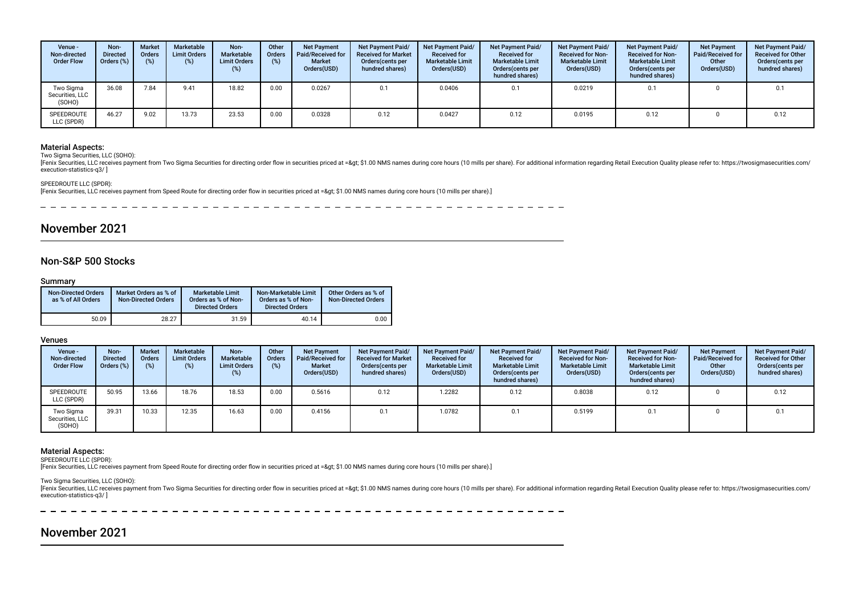| Venue -<br>Non-directed<br><b>Order Flow</b> | Non-<br><b>Directed</b><br>Orders $(\%)$ | <b>Market</b><br><b>Orders</b><br>(%) | Marketable<br><b>Limit Orders</b><br>(%) | Non-<br><b>Marketable</b><br><b>Limit Orders</b><br>(%) | Other<br><b>Orders</b> | <b>Net Payment</b><br>Paid/Received for<br><b>Market</b><br>Orders(USD) | <b>Net Payment Paid/</b><br><b>Received for Market</b><br>Orders (cents per<br>hundred shares) | <b>Net Payment Paid/</b><br><b>Received for</b><br><b>Marketable Limit</b><br>Orders(USD) | Net Payment Paid/<br><b>Received for</b><br><b>Marketable Limit</b><br>Orders (cents per<br>hundred shares) | Net Payment Paid/<br><b>Received for Non-</b><br><b>Marketable Limit</b><br>Orders(USD) | <b>Net Payment Paid/</b><br><b>Received for Non-</b><br><b>Marketable Limit</b><br>Orders(cents per<br>hundred shares) | <b>Net Payment</b><br><b>Paid/Received for</b><br>Other<br>Orders(USD) | <b>Net Payment Paid/</b><br><b>Received for Other</b><br>Orders(cents per<br>hundred shares) |
|----------------------------------------------|------------------------------------------|---------------------------------------|------------------------------------------|---------------------------------------------------------|------------------------|-------------------------------------------------------------------------|------------------------------------------------------------------------------------------------|-------------------------------------------------------------------------------------------|-------------------------------------------------------------------------------------------------------------|-----------------------------------------------------------------------------------------|------------------------------------------------------------------------------------------------------------------------|------------------------------------------------------------------------|----------------------------------------------------------------------------------------------|
| Two Sigma<br>Securities, LLC<br>(SOHO)       | 36.08                                    | 7.84                                  | 9.41                                     | 18.82                                                   | 0.00                   | 0.0267                                                                  | 0.1                                                                                            | 0.0406                                                                                    | 0.1                                                                                                         | 0.0219                                                                                  | 0.1                                                                                                                    |                                                                        | 0.1                                                                                          |
| SPEEDROUTE<br>LLC (SPDR)                     | 46.27                                    | 9.02                                  | 13.73                                    | 23.53                                                   | 0.00                   | 0.0328                                                                  | 0.12                                                                                           | 0.0427                                                                                    | 0.12                                                                                                        | 0.0195                                                                                  | 0.12                                                                                                                   |                                                                        | 0.12                                                                                         |

#### Material Aspects:

Two Sigma Securities, LLC (SOHO):

[Fenix Securities, LLC receives payment from Two Sigma Securities for directing order flow in securities priced at => \$1.00 NMS names during core hours (10 mills per share). For additional information regarding Retail E execution-statistics-q3/ ]

#### SPEEDROUTE LLC (SPDR):

[Fenix Securities, LLC receives payment from Speed Route for directing order flow in securities priced at => \$1.00 NMS names during core hours (10 mills per share).]

# November 2021

#### Non-S&P 500 Stocks

Summary

 $\equiv$ 

| <b>Non-Directed Orders</b><br>as % of All Orders | Market Orders as % of<br><b>Non-Directed Orders</b> | Marketable Limit<br>Orders as % of Non-<br><b>Directed Orders</b> | Non-Marketable Limit<br>Orders as % of Non-<br><b>Directed Orders</b> | Other Orders as % of<br><b>Non-Directed Orders</b> |
|--------------------------------------------------|-----------------------------------------------------|-------------------------------------------------------------------|-----------------------------------------------------------------------|----------------------------------------------------|
| 50.09                                            | 28.27                                               | 31.59                                                             | 40.14                                                                 | 0.00                                               |

Venues

| Venue -<br>Non-directed<br><b>Order Flow</b> | Non-<br><b>Directed</b><br>Orders (%) | <b>Market</b><br><b>Orders</b><br>(%) | Marketable<br><b>Limit Orders</b><br>(%) | Non-<br>Marketable<br><b>Limit Orders</b><br>(%) | Other<br><b>Orders</b> | <b>Net Payment</b><br>Paid/Received for<br><b>Market</b><br>Orders(USD) | <b>Net Payment Paid/</b><br><b>Received for Market</b><br>Orders (cents per<br>hundred shares) | <b>Net Payment Paid/</b><br><b>Received for</b><br><b>Marketable Limit</b><br>Orders(USD) | <b>Net Payment Paid/</b><br><b>Received for</b><br><b>Marketable Limit</b><br>Orders (cents per<br>hundred shares) | <b>Net Payment Paid/</b><br><b>Received for Non-</b><br><b>Marketable Limit</b><br>Orders(USD) | <b>Net Payment Paid/</b><br><b>Received for Non-</b><br><b>Marketable Limit</b><br>Orders (cents per<br>hundred shares) | <b>Net Payment</b><br><b>Paid/Received for</b><br>Other<br>Orders(USD) | <b>Net Payment Paid/</b><br><b>Received for Other</b><br>Orders (cents per<br>hundred shares) |
|----------------------------------------------|---------------------------------------|---------------------------------------|------------------------------------------|--------------------------------------------------|------------------------|-------------------------------------------------------------------------|------------------------------------------------------------------------------------------------|-------------------------------------------------------------------------------------------|--------------------------------------------------------------------------------------------------------------------|------------------------------------------------------------------------------------------------|-------------------------------------------------------------------------------------------------------------------------|------------------------------------------------------------------------|-----------------------------------------------------------------------------------------------|
| SPEEDROUTE<br>LLC (SPDR)                     | 50.95                                 | 13.66                                 | 18.76                                    | 18.53                                            | 0.00                   | 0.5616                                                                  | 0.12                                                                                           | 1.2282                                                                                    | 0.12                                                                                                               | 0.8038                                                                                         | 0.12                                                                                                                    |                                                                        | 0.12                                                                                          |
| Two Sigma<br>Securities, LLC<br>(SOHO)       | 39.31                                 | 10.33                                 | 12.35                                    | 16.63                                            | 0.00                   | 0.4156                                                                  | 0.1                                                                                            | 1.0782                                                                                    | 0.1                                                                                                                | 0.5199                                                                                         |                                                                                                                         |                                                                        | 0.1                                                                                           |

#### Material Aspects:

SPEEDROUTE LLC (SPDR):

[Fenix Securities, LLC receives payment from Speed Route for directing order fow in securities priced at => \$1.00 NMS names during core hours (10 mills per share).]

Two Sigma Securities, LLC (SOHO):

[Fenix Securities, LLC receives payment from Two Sigma Securities for directing order flow in securities priced at => \$1.00 NMS names during core hours (10 mills per share). For additional information regarding Retail E execution-statistics-q3/ ]

 $\overline{\phantom{0}}$ 

# November 2021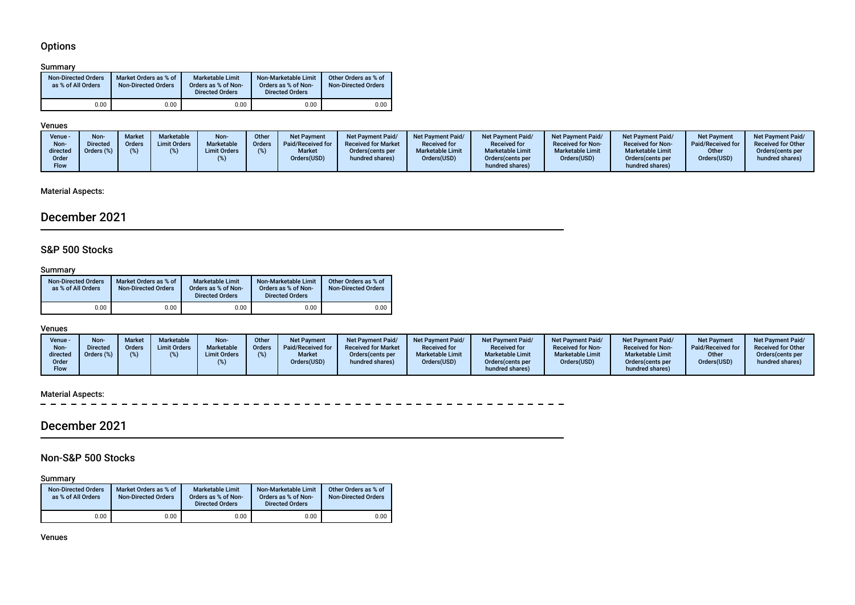# **Options**

#### Summary

| <b>Non-Directed Orders</b><br>as % of All Orders | Market Orders as % of<br><b>Non-Directed Orders</b> | <b>Marketable Limit</b><br>Orders as % of Non-<br><b>Directed Orders</b> | Non-Marketable Limit<br>Orders as % of Non-<br><b>Directed Orders</b> | Other Orders as % of<br><b>Non-Directed Orders</b> |
|--------------------------------------------------|-----------------------------------------------------|--------------------------------------------------------------------------|-----------------------------------------------------------------------|----------------------------------------------------|
| 0.00                                             | 0.00                                                | 0.00                                                                     | 0.00                                                                  | 0.00                                               |

#### Venues

| Venue -<br>Non-<br>directed<br>Order | Non-<br>Directed<br>Orders (%) | <b>Market</b><br>Orders | Marketable<br><b>Limit Orders</b> | Non-<br>Marketable<br><b>Limit Orders</b> | Other<br>Orders | Net Payment<br>Paid/Received for<br><b>Market</b><br>Orders(USD) | <b>Net Payment Paid/</b><br><b>Received for Market</b><br>Orders (cents per<br>hundred shares) | <b>Net Payment Paid/</b><br><b>Received for</b><br><b>Marketable Limit</b><br>Orders(USD) | <b>Net Payment Paid/</b><br><b>Received for</b><br><b>Marketable Limit</b><br>Orders (cents per | <b>Net Payment Paid/</b><br><b>Received for Non-</b><br><b>Marketable Limit</b><br>Orders(USD) | <b>Net Payment Paid/</b><br><b>Received for Non-</b><br><b>Marketable Limit</b><br>Orders (cents per | <b>Net Payment</b><br>Paid/Received for<br>Other<br>Orders(USD) | Net Payment Paid/<br><b>Received for Other</b><br>Orders(cents per<br>hundred shares) |
|--------------------------------------|--------------------------------|-------------------------|-----------------------------------|-------------------------------------------|-----------------|------------------------------------------------------------------|------------------------------------------------------------------------------------------------|-------------------------------------------------------------------------------------------|-------------------------------------------------------------------------------------------------|------------------------------------------------------------------------------------------------|------------------------------------------------------------------------------------------------------|-----------------------------------------------------------------|---------------------------------------------------------------------------------------|
| <b>Flow</b>                          |                                |                         |                                   |                                           |                 |                                                                  |                                                                                                |                                                                                           | hundred shares)                                                                                 |                                                                                                | hundred shares)                                                                                      |                                                                 |                                                                                       |

### Material Aspects:

# December 2021

### S&P 500 Stocks

### Summary

| <b>Non-Directed Orders</b><br>as % of All Orders | Market Orders as % of<br><b>Non-Directed Orders</b> | Marketable Limit<br>Orders as % of Non-<br><b>Directed Orders</b> | Non-Marketable Limit<br>Orders as % of Non-<br><b>Directed Orders</b> | Other Orders as % of<br><b>Non-Directed Orders</b> |
|--------------------------------------------------|-----------------------------------------------------|-------------------------------------------------------------------|-----------------------------------------------------------------------|----------------------------------------------------|
| 0.00                                             | 0.00                                                | 0.00                                                              | 0.00                                                                  | 0.00                                               |

#### Venues

| Venue -                          | <b>Non-</b> | <b>Market</b> | Marketable          | Non-                | Other         | Net Payment                  | Net Payment Paid/                    | <b>Net Payment Paid/</b>               | <b>Net Payment Paid/</b>                                       | Net Payment Paid/                      | <b>Net Payment Paid/</b>                                       | <b>Net Payment</b>   | <b>Net Payment Paid/</b>            |
|----------------------------------|-------------|---------------|---------------------|---------------------|---------------|------------------------------|--------------------------------------|----------------------------------------|----------------------------------------------------------------|----------------------------------------|----------------------------------------------------------------|----------------------|-------------------------------------|
| Non-                             | Directed    | <b>Orders</b> | <b>Limit Orders</b> | <b>Marketable</b>   | <b>Orders</b> | Paid/Received for            | <b>Received for Market</b>           | <b>Received for</b>                    | <b>Received for</b>                                            | <b>Received for Non-</b>               | <b>Received for Non-</b>                                       | Paid/Received for    | <b>Received for Other</b>           |
| directed<br>Order<br><b>Flow</b> |             | (%)           |                     | <b>Limit Orders</b> |               | <b>Market</b><br>Orders(USD) | Orders (cents per<br>hundred shares) | <b>Marketable Limit</b><br>Orders(USD) | <b>Marketable Limit</b><br>Orders(cents per<br>hundred shares) | <b>Marketable Limit</b><br>Orders(USD) | <b>Marketable Limit</b><br>Orders(cents per<br>hundred shares) | Other<br>Orders(USD) | Orders cents per<br>hundred shares) |

### Material Aspects:

 $\equiv$   $\equiv$  $\frac{1}{2}$  $\sim$   $\sim$  $\sim$ **Contract**  $\sim$   $-$ 

# December 2021

# Non-S&P 500 Stocks

Summary

| ----------<br><b>Non-Directed Orders</b><br>Market Orders as % of<br>as % of All Orders<br><b>Non-Directed Orders</b> |      | <b>Marketable Limit</b><br>Orders as % of Non-<br><b>Directed Orders</b> | Non-Marketable Limit<br>Orders as % of Non-<br><b>Directed Orders</b> | Other Orders as % of<br><b>Non-Directed Orders</b> |  |  |
|-----------------------------------------------------------------------------------------------------------------------|------|--------------------------------------------------------------------------|-----------------------------------------------------------------------|----------------------------------------------------|--|--|
| 0.00                                                                                                                  | 0.00 | 0.00                                                                     | 0.00                                                                  | 0.00                                               |  |  |

Venues